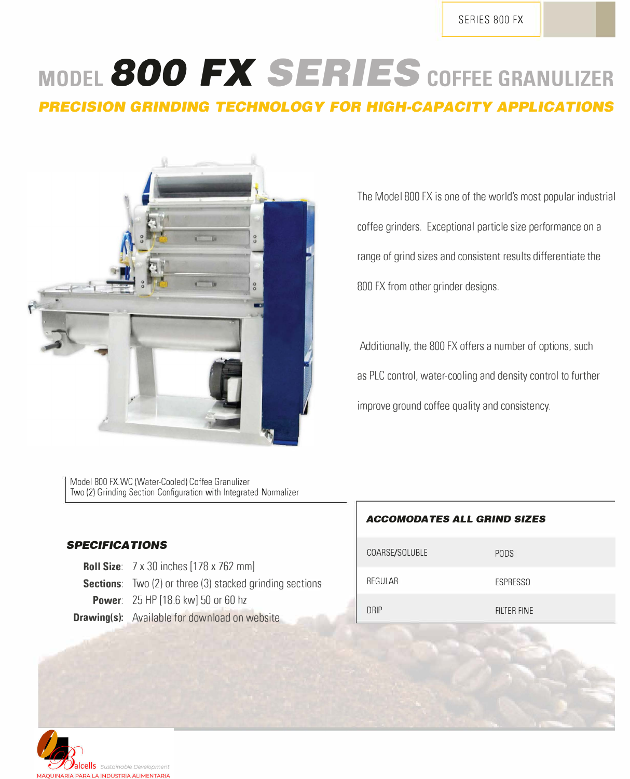SERIES 800 FX

# **MODEL 800** *FX SERIES* **COFFEE GRANULIZER**

*PRECISION GRINDING TECHNOLOGY* **FOR** *HIGH-CAPACITY APPLICATIONS* 



The Model 800 FX is one of the world's most popular industrial coffee grinders. Exceptional particle size performance on a range of grind sizes and consistent results differentiate the 800 FX from other grinder designs.

Additionally, the 800 FX offers a number of options, such as PLC control, water-cooling and density control to further improve ground coffee quality and consistency.

Model 800 FX.WC (Water-Cooled) Coffee Granulizer Two (2) Grinding Section Configuration with lntegrated Normalizer

#### *SPECIFICA TIONS*

| <b>Roll Size:</b> 7 x 30 inches [178 x 762 mm]                  |
|-----------------------------------------------------------------|
| <b>Sections:</b> Two (2) or three (3) stacked grinding sections |
| <b>Power: 25 HP [18.6 kw] 50 or 60 hz</b>                       |
| <b>Drawing(s):</b> Available for download on website            |

#### *ACCOMODATES ALL GRIND SIZES*

| COARSE/SOLUBLE | <b>PODS</b>     |
|----------------|-----------------|
| REGULAR        | <b>ESPRESSO</b> |
| <b>DRIP</b>    | FILTER FINE     |